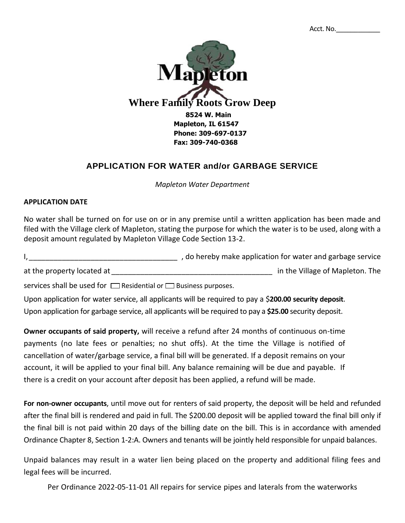

## **APPLICATION FOR WATER and/or GARBAGE SERVICE**

*Mapleton Water Department*

## **APPLICATION DATE**

No water shall be turned on for use on or in any premise until a written application has been made and filed with the Village clerk of Mapleton, stating the purpose for which the water is to be used, along with a deposit amount regulated by Mapleton Village Code Section 13-2.

I, 1, 2002 and the results of the relation for water and garbage service

at the property located at \_\_\_\_\_\_\_\_\_\_\_\_\_\_\_\_\_\_\_\_\_\_\_\_\_\_\_\_\_\_\_\_\_\_\_\_\_\_\_ in the Village of Mapleton. The

services shall be used for  $\Box$  Residential or  $\Box$  Business purposes.

Upon application for water service, all applicants will be required to pay a \$**200.00 security deposit**. Upon application for garbage service, all applicants will be required to pay a **\$25.00** security deposit.

**Owner occupants of said property,** will receive a refund after 24 months of continuous on-time payments (no late fees or penalties; no shut offs). At the time the Village is notified of cancellation of water/garbage service, a final bill will be generated. If a deposit remains on your account, it will be applied to your final bill. Any balance remaining will be due and payable. If there is a credit on your account after deposit has been applied, a refund will be made.

**For non-owner occupants**, until move out for renters of said property, the deposit will be held and refunded after the final bill is rendered and paid in full. The \$200.00 deposit will be applied toward the final bill only if the final bill is not paid within 20 days of the billing date on the bill. This is in accordance with amended Ordinance Chapter 8, Section 1-2:A. Owners and tenants will be jointly held responsible for unpaid balances.

Unpaid balances may result in a water lien being placed on the property and additional filing fees and legal fees will be incurred.

Per Ordinance 2022-05-11-01 All repairs for service pipes and laterals from the waterworks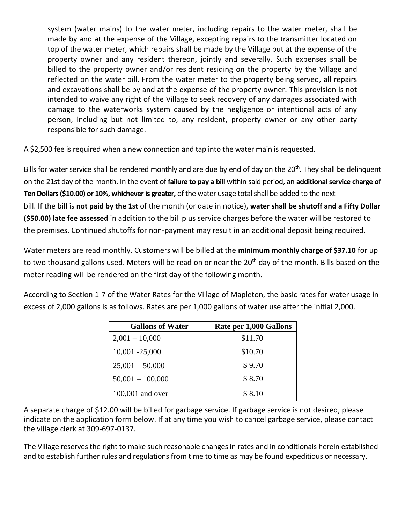system (water mains) to the water meter, including repairs to the water meter, shall be made by and at the expense of the Village, excepting repairs to the transmitter located on top of the water meter, which repairs shall be made by the Village but at the expense of the property owner and any resident thereon, jointly and severally. Such expenses shall be billed to the property owner and/or resident residing on the property by the Village and reflected on the water bill. From the water meter to the property being served, all repairs and excavations shall be by and at the expense of the property owner. This provision is not intended to waive any right of the Village to seek recovery of any damages associated with damage to the waterworks system caused by the negligence or intentional acts of any person, including but not limited to, any resident, property owner or any other party responsible for such damage.

A \$2,500 fee is required when a new connection and tap into the water main is requested.

Bills for water service shall be rendered monthly and are due by end of day on the 20<sup>th</sup>. They shall be delinquent on the 21st day of the month. In the event of **failure to pay a bill** within said period, an **additional service charge of Ten Dollars (\$10.00) or 10%, whichever is greater,** of the water usage total shall be added to the next bill. If the bill is **not paid by the 1st** of the month (or date in notice), **water shall be shutoff and a Fifty Dollar (\$50.00) late fee assessed** in addition to the bill plus service charges before the water will be restored to the premises. Continued shutoffs for non-payment may result in an additional deposit being required.

Water meters are read monthly. Customers will be billed at the **minimum monthly charge of \$37.10** for up to two thousand gallons used. Meters will be read on or near the 20<sup>th</sup> day of the month. Bills based on the meter reading will be rendered on the first day of the following month.

According to Section 1-7 of the Water Rates for the Village of Mapleton, the basic rates for water usage in excess of 2,000 gallons is as follows. Rates are per 1,000 gallons of water use after the initial 2,000.

| <b>Gallons of Water</b> | Rate per 1,000 Gallons |  |  |
|-------------------------|------------------------|--|--|
| $2,001 - 10,000$        | \$11.70                |  |  |
| $10,001 - 25,000$       | \$10.70                |  |  |
| $25,001 - 50,000$       | \$9.70                 |  |  |
| $50,001 - 100,000$      | \$8.70                 |  |  |
| 100,001 and over        | \$8.10                 |  |  |

A separate charge of \$12.00 will be billed for garbage service. If garbage service is not desired, please indicate on the application form below. If at any time you wish to cancel garbage service, please contact the village clerk at 309-697-0137.

The Village reserves the right to make such reasonable changes in rates and in conditionals herein established and to establish further rules and regulations from time to time as may be found expeditious or necessary.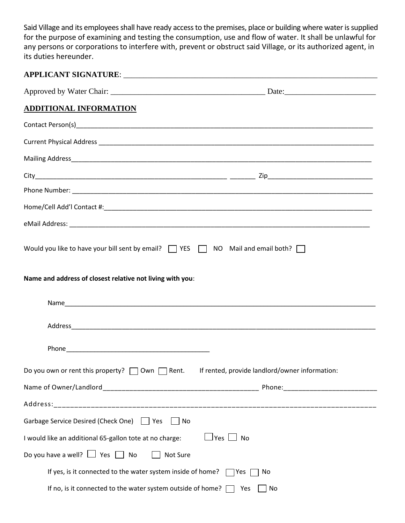Said Village and its employees shall have ready access to the premises, place or building where water is supplied for the purpose of examining and testing the consumption, use and flow of water. It shall be unlawful for any persons or corporations to interfere with, prevent or obstruct said Village, or its authorized agent, in its duties hereunder.

| <b>ADDITIONAL INFORMATION</b>                                                                               |  |  |  |  |
|-------------------------------------------------------------------------------------------------------------|--|--|--|--|
|                                                                                                             |  |  |  |  |
|                                                                                                             |  |  |  |  |
|                                                                                                             |  |  |  |  |
|                                                                                                             |  |  |  |  |
|                                                                                                             |  |  |  |  |
|                                                                                                             |  |  |  |  |
|                                                                                                             |  |  |  |  |
| Would you like to have your bill sent by email?<br>TYES TAND Mail and email both?<br>T                      |  |  |  |  |
| Name and address of closest relative not living with you:                                                   |  |  |  |  |
|                                                                                                             |  |  |  |  |
|                                                                                                             |  |  |  |  |
|                                                                                                             |  |  |  |  |
| Do you own or rent this property? $\Box$ Own $\Box$ Rent.<br>If rented, provide landlord/owner information: |  |  |  |  |
|                                                                                                             |  |  |  |  |
|                                                                                                             |  |  |  |  |
| Garbage Service Desired (Check One)   Yes<br>    No                                                         |  |  |  |  |
| $\sqcup$ Yes $\sqcup$ No<br>I would like an additional 65-gallon tote at no charge:                         |  |  |  |  |
| Do you have a well? $\Box$ Yes $\Box$ No<br>Not Sure                                                        |  |  |  |  |
| If yes, is it connected to the water system inside of home? [<br>Yes<br>No                                  |  |  |  |  |
| If no, is it connected to the water system outside of home? [<br>Yes<br>No                                  |  |  |  |  |